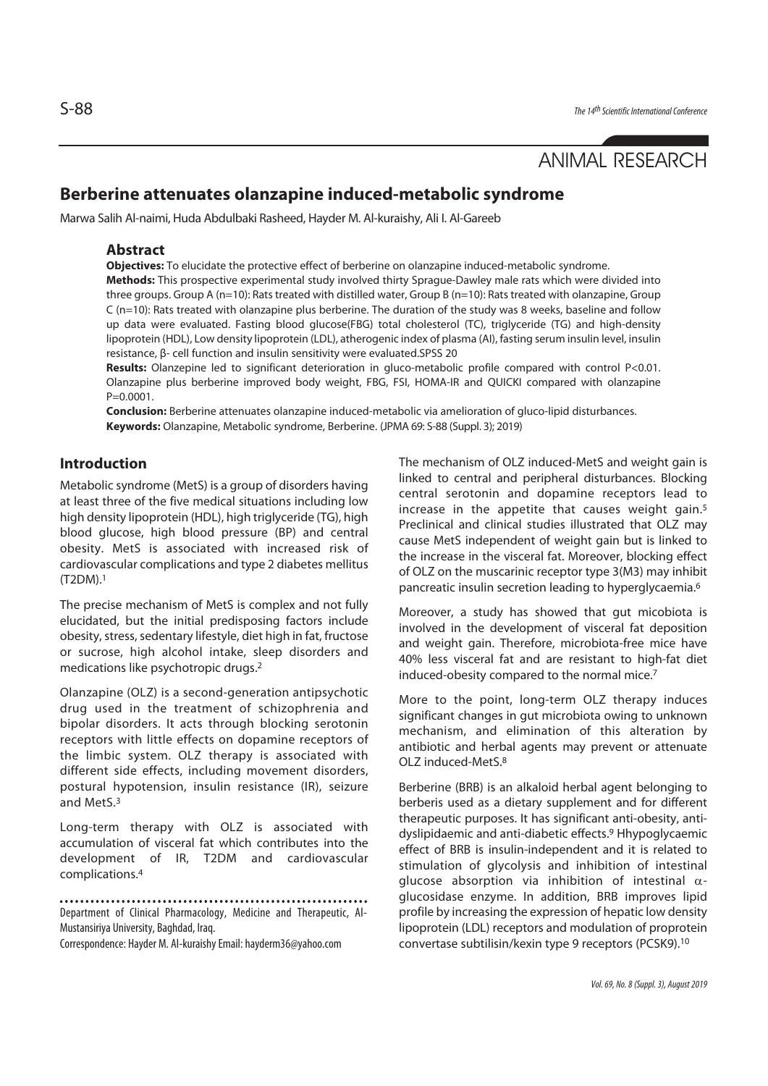# ANIMAL RESEARCH

## **Berberine attenuates olanzapine induced-metabolic syndrome**

Marwa Salih Al-naimi, Huda Abdulbaki Rasheed, Hayder M. Al-kuraishy, Ali I. Al-Gareeb

### **Abstract**

**Objectives:** To elucidate the protective effect of berberine on olanzapine induced-metabolic syndrome. **Methods:** This prospective experimental study involved thirty Sprague-Dawley male rats which were divided into three groups. Group A (n=10): Rats treated with distilled water, Group B (n=10): Rats treated with olanzapine, Group C (n=10): Rats treated with olanzapine plus berberine. The duration of the study was 8 weeks, baseline and follow up data were evaluated. Fasting blood glucose(FBG) total cholesterol (TC), triglyceride (TG) and high-density lipoprotein (HDL), Low density lipoprotein (LDL), atherogenic index of plasma (AI), fasting serum insulin level, insulin resistance, β- cell function and insulin sensitivity were evaluated.SPSS 20

**Results:** Olanzepine led to significant deterioration in gluco-metabolic profile compared with control P<0.01. Olanzapine plus berberine improved body weight, FBG, FSI, HOMA-IR and QUICKI compared with olanzapine  $P=0.0001$ .

**Conclusion:** Berberine attenuates olanzapine induced-metabolic via amelioration of gluco-lipid disturbances. **Keywords:** Olanzapine, Metabolic syndrome, Berberine. (JPMA 69: S-88 (Suppl. 3); 2019)

### **Introduction**

Metabolic syndrome (MetS) is a group of disorders having at least three of the five medical situations including low high density lipoprotein (HDL), high triglyceride (TG), high blood glucose, high blood pressure (BP) and central obesity. MetS is associated with increased risk of cardiovascular complications and type 2 diabetes mellitus (T2DM).1

The precise mechanism of MetS is complex and not fully elucidated, but the initial predisposing factors include obesity, stress, sedentary lifestyle, diet high in fat, fructose or sucrose, high alcohol intake, sleep disorders and medications like psychotropic drugs.2

Olanzapine (OLZ) is a second-generation antipsychotic drug used in the treatment of schizophrenia and bipolar disorders. It acts through blocking serotonin receptors with little effects on dopamine receptors of the limbic system. OLZ therapy is associated with different side effects, including movement disorders, postural hypotension, insulin resistance (IR), seizure and MetS.3

Long-term therapy with OLZ is associated with accumulation of visceral fat which contributes into the development of IR, T2DM and cardiovascular complications.4

Department of Clinical Pharmacology, Medicine and Therapeutic, Al-Mustansiriya University, Baghdad, Iraq.

Correspondence: Hayder M. Al-kuraishy Email: hayderm36@yahoo.com

The mechanism of OLZ induced-MetS and weight gain is linked to central and peripheral disturbances. Blocking central serotonin and dopamine receptors lead to increase in the appetite that causes weight gain.<sup>5</sup> Preclinical and clinical studies illustrated that OLZ may cause MetS independent of weight gain but is linked to the increase in the visceral fat. Moreover, blocking effect of OLZ on the muscarinic receptor type 3(M3) may inhibit pancreatic insulin secretion leading to hyperglycaemia.6

Moreover, a study has showed that gut micobiota is involved in the development of visceral fat deposition and weight gain. Therefore, microbiota-free mice have 40% less visceral fat and are resistant to high-fat diet induced-obesity compared to the normal mice.7

More to the point, long-term OLZ therapy induces significant changes in gut microbiota owing to unknown mechanism, and elimination of this alteration by antibiotic and herbal agents may prevent or attenuate OLZ induced-MetS.8

Berberine (BRB) is an alkaloid herbal agent belonging to berberis used as a dietary supplement and for different therapeutic purposes. It has significant anti-obesity, antidyslipidaemic and anti-diabetic effects.9 Hhypoglycaemic effect of BRB is insulin-independent and it is related to stimulation of glycolysis and inhibition of intestinal glucose absorption via inhibition of intestinal  $\alpha$ glucosidase enzyme. In addition, BRB improves lipid profile by increasing the expression of hepatic low density lipoprotein (LDL) receptors and modulation of proprotein convertase subtilisin/kexin type 9 receptors (PCSK9).10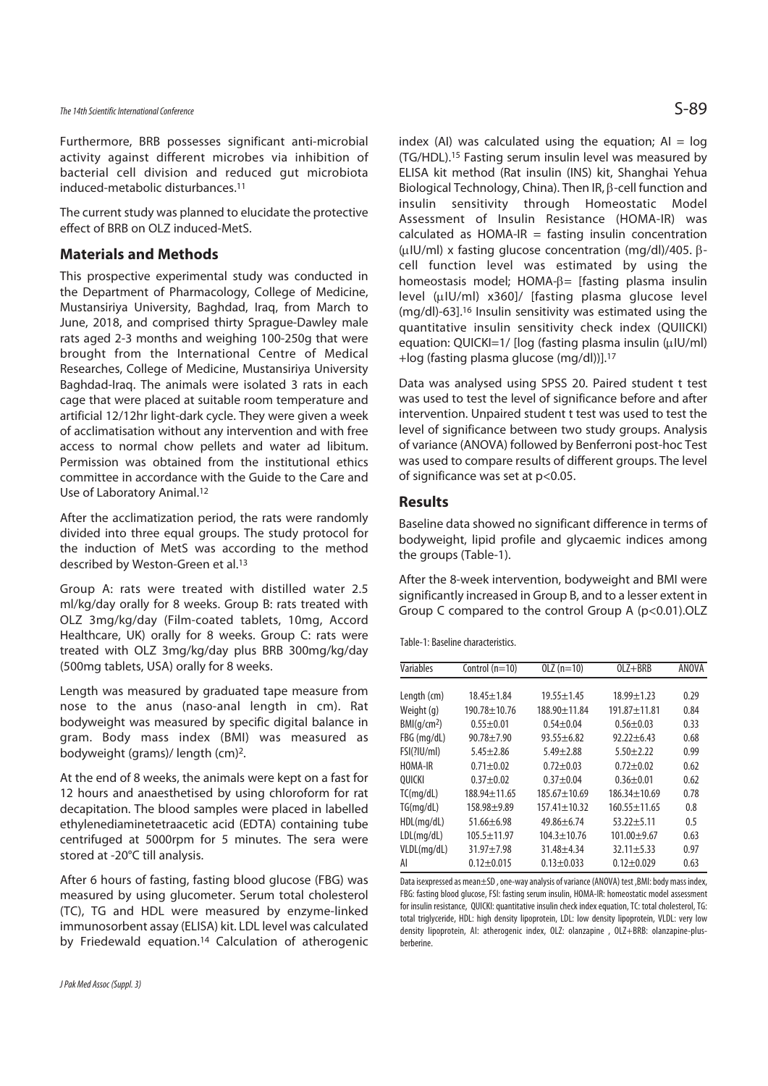The 14th Scientific International Conference  $\mathsf{S}\text{-}89$ 

Furthermore, BRB possesses significant anti-microbial activity against different microbes via inhibition of bacterial cell division and reduced gut microbiota induced-metabolic disturbances.11

The current study was planned to elucidate the protective effect of BRB on OLZ induced-MetS.

### **Materials and Methods**

This prospective experimental study was conducted in the Department of Pharmacology, College of Medicine, Mustansiriya University, Baghdad, Iraq, from March to June, 2018, and comprised thirty Sprague-Dawley male rats aged 2-3 months and weighing 100-250g that were brought from the International Centre of Medical Researches, College of Medicine, Mustansiriya University Baghdad-Iraq. The animals were isolated 3 rats in each cage that were placed at suitable room temperature and artificial 12/12hr light-dark cycle. They were given a week of acclimatisation without any intervention and with free access to normal chow pellets and water ad libitum. Permission was obtained from the institutional ethics committee in accordance with the Guide to the Care and Use of Laboratory Animal.12

After the acclimatization period, the rats were randomly divided into three equal groups. The study protocol for the induction of MetS was according to the method described by Weston-Green et al.13

Group A: rats were treated with distilled water 2.5 ml/kg/day orally for 8 weeks. Group B: rats treated with OLZ 3mg/kg/day (Film-coated tablets, 10mg, Accord Healthcare, UK) orally for 8 weeks. Group C: rats were treated with OLZ 3mg/kg/day plus BRB 300mg/kg/day (500mg tablets, USA) orally for 8 weeks.

Length was measured by graduated tape measure from nose to the anus (naso-anal length in cm). Rat bodyweight was measured by specific digital balance in gram. Body mass index (BMI) was measured as bodyweight (grams)/ length (cm)2.

At the end of 8 weeks, the animals were kept on a fast for 12 hours and anaesthetised by using chloroform for rat decapitation. The blood samples were placed in labelled ethylenediaminetetraacetic acid (EDTA) containing tube centrifuged at 5000rpm for 5 minutes. The sera were stored at -20°C till analysis.

After 6 hours of fasting, fasting blood glucose (FBG) was measured by using glucometer. Serum total cholesterol (TC), TG and HDL were measured by enzyme-linked immunosorbent assay (ELISA) kit. LDL level was calculated by Friedewald equation.14 Calculation of atherogenic index (AI) was calculated using the equation;  $AI = log$ (TG/HDL).15 Fasting serum insulin level was measured by ELISA kit method (Rat insulin (INS) kit, Shanghai Yehua Biological Technology, China). Then IR, β-cell function and insulin sensitivity through Homeostatic Model Assessment of Insulin Resistance (HOMA-IR) was calculated as HOMA-IR = fasting insulin concentration (μIU/ml) x fasting glucose concentration (mg/dl)/405. βcell function level was estimated by using the homeostasis model; HOMA-β= [fasting plasma insulin level (μIU/ml) x360]/ [fasting plasma glucose level (mg/dl)-63].16 Insulin sensitivity was estimated using the quantitative insulin sensitivity check index (QUIICKI) equation: QUICKI=1/ [log (fasting plasma insulin (μIU/ml) +log (fasting plasma glucose (mg/dl))].17

Data was analysed using SPSS 20. Paired student t test was used to test the level of significance before and after intervention. Unpaired student t test was used to test the level of significance between two study groups. Analysis of variance (ANOVA) followed by Benferroni post-hoc Test was used to compare results of different groups. The level of significance was set at p<0.05.

### **Results**

Baseline data showed no significant difference in terms of bodyweight, lipid profile and glycaemic indices among the groups (Table-1).

After the 8-week intervention, bodyweight and BMI were significantly increased in Group B, and to a lesser extent in Group C compared to the control Group A (p<0.01).OLZ

Table-1: Baseline characteristics.

| Variables               | Control $(n=10)$   | $OLZ(n=10)$        | $OLZ + BRB$        | ANOVA |
|-------------------------|--------------------|--------------------|--------------------|-------|
|                         |                    |                    |                    |       |
| Length (cm)             | 18.45±1.84         | $19.55 + 1.45$     | $18.99 + 1.23$     | 0.29  |
| Weight (g)              | 190.78±10.76       | 188.90±11.84       | $191.87 + 11.81$   | 0.84  |
| BMI(q/cm <sup>2</sup> ) | $0.55 + 0.01$      | $0.54 + 0.04$      | $0.56 + 0.03$      | 0.33  |
| FBG (mg/dL)             | $90.78 + 7.90$     | $93.55 + 6.82$     | $92.22 \pm 6.43$   | 0.68  |
| FSI(? U/m )             | $5.45 \pm 2.86$    | $5.49 + 2.88$      | $5.50 + 2.22$      | 0.99  |
| HOMA-IR                 | $0.71 + 0.02$      | $0.72 + 0.03$      | $0.72 + 0.02$      | 0.62  |
| OUICKI                  | $0.37 + 0.02$      | $0.37 + 0.04$      | $0.36 + 0.01$      | 0.62  |
| TC(mq/dL)               | $188.94 \pm 11.65$ | $185.67 \pm 10.69$ | $186.34 \pm 10.69$ | 0.78  |
| TG(mq/dL)               | $158.98 + 9.89$    | $157.41 \pm 10.32$ | $160.55 \pm 11.65$ | 0.8   |
| HDL(mq/dL)              | $51.66 \pm 6.98$   | $49.86 + 6.74$     | $53.22 + 5.11$     | 0.5   |
| LDL(mq/dL)              | $105.5 + 11.97$    | $104.3 + 10.76$    | $101.00 + 9.67$    | 0.63  |
| VLDL(mg/dL)             | $31.97 + 7.98$     | $31.48 + 4.34$     | $32.11 + 5.33$     | 0.97  |
| AI                      | $0.12 + 0.015$     | $0.13 + 0.033$     | $0.12 + 0.029$     | 0.63  |

Data isexpressed as mean±SD , one-way analysis of variance (ANOVA) test ,BMI: body mass index, FBG: fasting blood glucose, FSI: fasting serum insulin, HOMA-IR: homeostatic model assessment for insulin resistance, QUICKI: quantitative insulin check index equation, TC: total cholesterol, TG: total triglyceride, HDL: high density lipoprotein, LDL: low density lipoprotein, VLDL: very low density lipoprotein, AI: atherogenic index, OLZ: olanzapine , OLZ+BRB: olanzapine-plusberberine.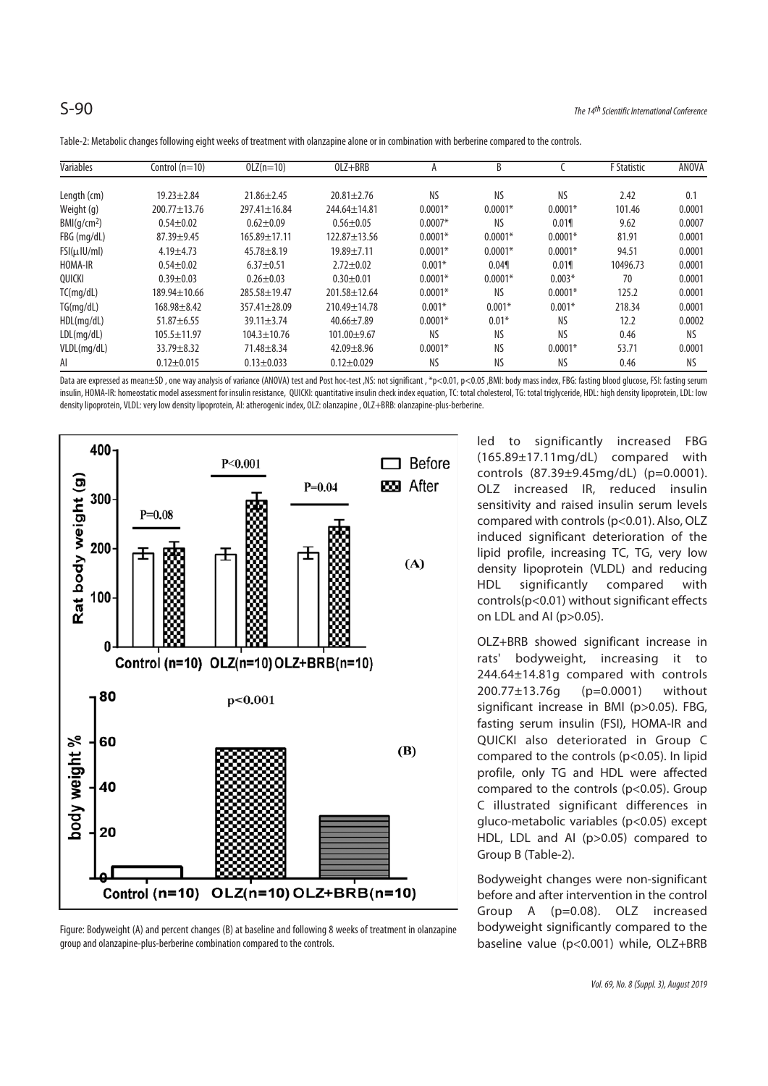| Variables               | Control $(n=10)$   | $OLZ(n=10)$        | $OLZ + BRB$      | A         | <sub>R</sub> |           | <b>F</b> Statistic | <b>ANOVA</b> |
|-------------------------|--------------------|--------------------|------------------|-----------|--------------|-----------|--------------------|--------------|
| Length (cm)             | $19.23 + 2.84$     | $21.86 \pm 2.45$   | $20.81 \pm 2.76$ | <b>NS</b> | <b>NS</b>    | ΝS        | 2.42               | 0.1          |
| Weight (g)              | 200.77±13.76       | 297.41±16.84       | 244.64±14.81     | $0.0001*$ | $0.0001*$    | $0.0001*$ | 101.46             | 0.0001       |
| BMl(q/cm <sup>2</sup> ) | $0.54 + 0.02$      | $0.62 + 0.09$      | $0.56 + 0.05$    | $0.0007*$ | <b>NS</b>    | 0.019     | 9.62               | 0.0007       |
| FBG (mg/dL)             | $87.39 + 9.45$     | $165.89 \pm 17.11$ | $122.87 + 13.56$ | $0.0001*$ | $0.0001*$    | $0.0001*$ | 81.91              | 0.0001       |
| FSI(u U/ml)             | $4.19 + 4.73$      | $45.78 + 8.19$     | $19.89 + 7.11$   | $0.0001*$ | $0.0001*$    | $0.0001*$ | 94.51              | 0.0001       |
| HOMA-IR                 | $0.54 + 0.02$      | $6.37+0.51$        | $2.72 \pm 0.02$  | $0.001*$  | 0.049        | 0.019     | 10496.73           | 0.0001       |
| OUICKI                  | $0.39 + 0.03$      | $0.26 \pm 0.03$    | $0.30 + 0.01$    | $0.0001*$ | $0.0001*$    | $0.003*$  | 70                 | 0.0001       |
| TC(mq/dL)               | $189.94 \pm 10.66$ | 285.58±19.47       | 201.58 ± 12.64   | $0.0001*$ | <b>NS</b>    | $0.0001*$ | 125.2              | 0.0001       |
| TG(mq/dL)               | $168.98 + 8.42$    | $357.41 \pm 28.09$ | 210.49±14.78     | $0.001*$  | $0.001*$     | $0.001*$  | 218.34             | 0.0001       |
| HDL(mq/dL)              | $51.87 \pm 6.55$   | $39.11 \pm 3.74$   | $40.66 \pm 7.89$ | $0.0001*$ | $0.01*$      | ΝS        | 12.2               | 0.0002       |
| LDL(mq/dL)              | $105.5 \pm 11.97$  | $104.3 \pm 10.76$  | $101.00 + 9.67$  | <b>NS</b> | <b>NS</b>    | ΝS        | 0.46               | Nς           |
| VLDL(mg/dL)             | $33.79 + 8.32$     | $71.48 + 8.34$     | $42.09 + 8.96$   | $0.0001*$ | <b>NS</b>    | $0.0001*$ | 53.71              | 0.0001       |
| AI                      | $0.12 \pm 0.015$   | $0.13 + 0.033$     | $0.12 + 0.029$   | <b>NS</b> | <b>NS</b>    | ΝS        | 0.46               | <b>NS</b>    |

Table-2: Metabolic changes following eight weeks of treatment with olanzapine alone or in combination with berberine compared to the controls.

Data are expressed as mean±SD, one way analysis of variance (ANOVA) test and Post hoc-test ,NS: not significant , \*p<0.01, p<0.05 ,BMI: body mass index, FBG: fasting blood glucose, FSI: fasting serum insulin, HOMA-IR: homeostatic model assessment for insulin resistance, QUICKI: quantitative insulin check index equation, TC: total cholesterol, TG: total triglyceride, HDL: high density lipoprotein, LDL: low density lipoprotein, VLDL: very low density lipoprotein, AI: atherogenic index, OLZ: olanzapine , OLZ+BRB: olanzapine-plus-berberine.



Figure: Bodyweight (A) and percent changes (B) at baseline and following 8 weeks of treatment in olanzapine group and olanzapine-plus-berberine combination compared to the controls.

led to significantly increased FBG (165.89±17.11mg/dL) compared with controls (87.39±9.45mg/dL) (p=0.0001). OLZ increased IR, reduced insulin sensitivity and raised insulin serum levels compared with controls (p<0.01). Also, OLZ induced significant deterioration of the lipid profile, increasing TC, TG, very low density lipoprotein (VLDL) and reducing HDL significantly compared with controls(p<0.01) without significant effects on LDL and AI (p>0.05).

OLZ+BRB showed significant increase in rats' bodyweight, increasing it to 244.64±14.81g compared with controls 200.77±13.76g (p=0.0001) without significant increase in BMI (p>0.05). FBG, fasting serum insulin (FSI), HOMA-IR and QUICKI also deteriorated in Group C compared to the controls (p<0.05). In lipid profile, only TG and HDL were affected compared to the controls (p<0.05). Group C illustrated significant differences in gluco-metabolic variables (p<0.05) except HDL, LDL and AI (p>0.05) compared to Group B (Table-2).

Bodyweight changes were non-significant before and after intervention in the control Group A (p=0.08). OLZ increased bodyweight significantly compared to the baseline value (p<0.001) while, OLZ+BRB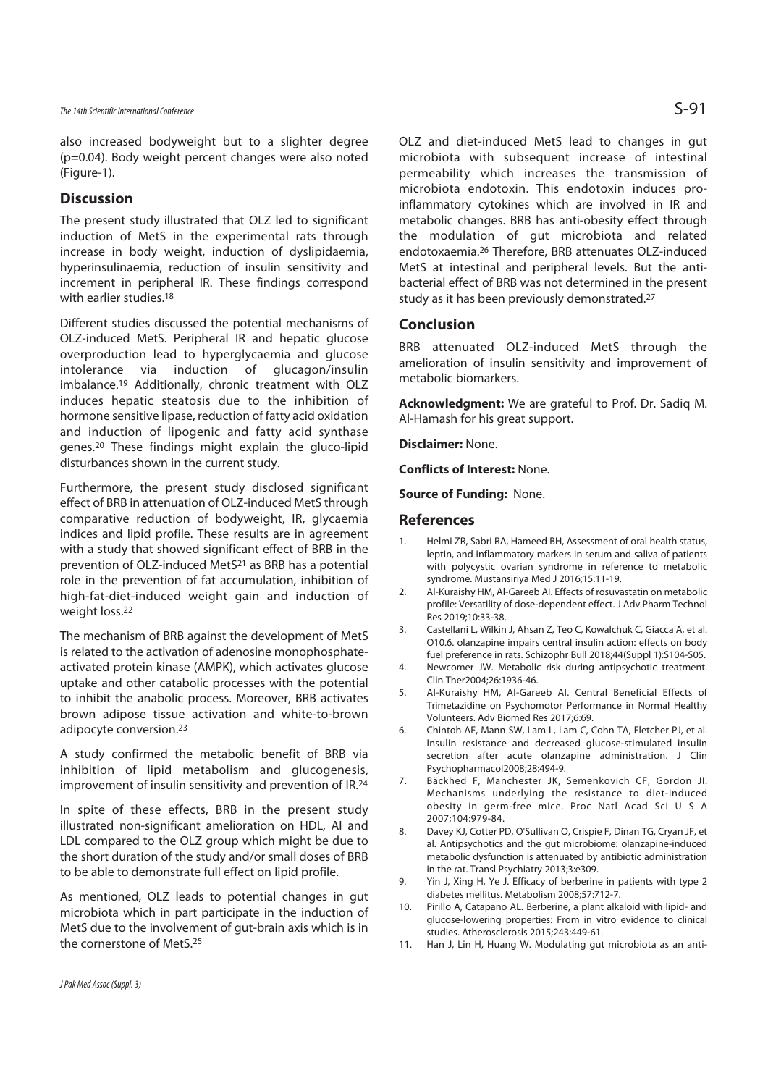### The 14th Scientific International Conference  $\mathsf{S}\text{-}91$

also increased bodyweight but to a slighter degree (p=0.04). Body weight percent changes were also noted (Figure-1).

### **Discussion**

The present study illustrated that OLZ led to significant induction of MetS in the experimental rats through increase in body weight, induction of dyslipidaemia, hyperinsulinaemia, reduction of insulin sensitivity and increment in peripheral IR. These findings correspond with earlier studies.18

Different studies discussed the potential mechanisms of OLZ-induced MetS. Peripheral IR and hepatic glucose overproduction lead to hyperglycaemia and glucose intolerance via induction of glucagon/insulin imbalance.19 Additionally, chronic treatment with OLZ induces hepatic steatosis due to the inhibition of hormone sensitive lipase, reduction of fatty acid oxidation and induction of lipogenic and fatty acid synthase genes.20 These findings might explain the gluco-lipid disturbances shown in the current study.

Furthermore, the present study disclosed significant effect of BRB in attenuation of OLZ-induced MetS through comparative reduction of bodyweight, IR, glycaemia indices and lipid profile. These results are in agreement with a study that showed significant effect of BRB in the prevention of OLZ-induced MetS<sup>21</sup> as BRB has a potential role in the prevention of fat accumulation, inhibition of high-fat-diet-induced weight gain and induction of weight loss.22

The mechanism of BRB against the development of MetS is related to the activation of adenosine monophosphateactivated protein kinase (AMPK), which activates glucose uptake and other catabolic processes with the potential to inhibit the anabolic process. Moreover, BRB activates brown adipose tissue activation and white-to-brown adipocyte conversion.23

A study confirmed the metabolic benefit of BRB via inhibition of lipid metabolism and glucogenesis, improvement of insulin sensitivity and prevention of IR.24

In spite of these effects, BRB in the present study illustrated non-significant amelioration on HDL, AI and LDL compared to the OLZ group which might be due to the short duration of the study and/or small doses of BRB to be able to demonstrate full effect on lipid profile.

As mentioned, OLZ leads to potential changes in gut microbiota which in part participate in the induction of MetS due to the involvement of gut-brain axis which is in the cornerstone of MetS.25

OLZ and diet-induced MetS lead to changes in gut microbiota with subsequent increase of intestinal permeability which increases the transmission of microbiota endotoxin. This endotoxin induces proinflammatory cytokines which are involved in IR and metabolic changes. BRB has anti-obesity effect through the modulation of gut microbiota and related endotoxaemia.26 Therefore, BRB attenuates OLZ-induced MetS at intestinal and peripheral levels. But the antibacterial effect of BRB was not determined in the present study as it has been previously demonstrated.27

### **Conclusion**

BRB attenuated OLZ-induced MetS through the amelioration of insulin sensitivity and improvement of metabolic biomarkers.

**Acknowledgment:** We are grateful to Prof. Dr. Sadiq M. Al-Hamash for his great support.

**Disclaimer:** None.

**Conflicts of Interest:** None.

**Source of Funding:** None.

### **References**

- 1. Helmi ZR, Sabri RA, Hameed BH, Assessment of oral health status, leptin, and inflammatory markers in serum and saliva of patients with polycystic ovarian syndrome in reference to metabolic syndrome. Mustansiriya Med J 2016;15:11-19.
- 2. Al-Kuraishy HM, Al-Gareeb AI. Effects of rosuvastatin on metabolic profile: Versatility of dose-dependent effect. J Adv Pharm Technol Res 2019;10:33-38.
- 3. Castellani L, Wilkin J, Ahsan Z, Teo C, Kowalchuk C, Giacca A, et al. O10.6. olanzapine impairs central insulin action: effects on body fuel preference in rats. Schizophr Bull 2018;44(Suppl 1):S104-S05.
- 4. Newcomer JW. Metabolic risk during antipsychotic treatment. Clin Ther2004;26:1936-46.
- 5. Al-Kuraishy HM, Al-Gareeb AI. Central Beneficial Effects of Trimetazidine on Psychomotor Performance in Normal Healthy Volunteers. Adv Biomed Res 2017;6:69.
- 6. Chintoh AF, Mann SW, Lam L, Lam C, Cohn TA, Fletcher PJ, et al. Insulin resistance and decreased glucose-stimulated insulin secretion after acute olanzapine administration. J Clin Psychopharmacol2008;28:494-9.
- 7. Bäckhed F, Manchester JK, Semenkovich CF, Gordon JI. Mechanisms underlying the resistance to diet-induced obesity in germ-free mice. Proc Natl Acad Sci U S A 2007;104:979-84.
- 8. Davey KJ, Cotter PD, O'Sullivan O, Crispie F, Dinan TG, Cryan JF, et al. Antipsychotics and the gut microbiome: olanzapine-induced metabolic dysfunction is attenuated by antibiotic administration in the rat. Transl Psychiatry 2013;3:e309.
- 9. Yin J, Xing H, Ye J. Efficacy of berberine in patients with type 2 diabetes mellitus. Metabolism 2008;57:712-7.
- 10. Pirillo A, Catapano AL. Berberine, a plant alkaloid with lipid- and glucose-lowering properties: From in vitro evidence to clinical studies. Atherosclerosis 2015;243:449-61.
- 11. Han J, Lin H, Huang W. Modulating gut microbiota as an anti-